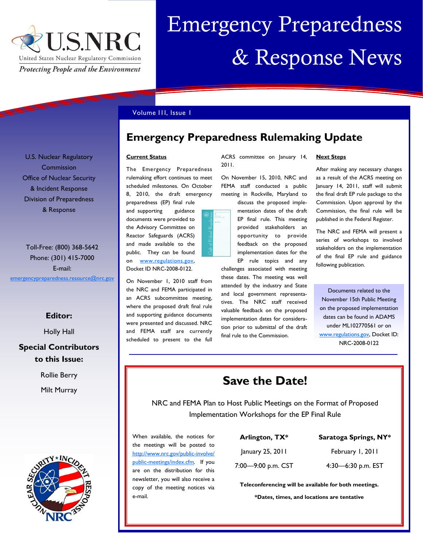

# Emergency Preparedness & Response News

## Volume I1I, Issue 1

**Emergency Preparedness Rulemaking Update**

#### **Current Status**

The Emergency Preparedness rulemaking effort continues to meet scheduled milestones. On October 8, 2010, the draft emergency preparedness (EP) final rule

and supporting guidance documents were provided to the Advisory Committee on Reactor Safeguards (ACRS) and made available to the public. They can be found on [www.regulations.gov,](http://www.regulations.gov) Docket ID NRC-2008-0122.

On November 1, 2010 staff from the NRC and FEMA participated in an ACRS subcommittee meeting, where the proposed draft final rule and supporting guidance documents were presented and discussed. NRC and FEMA staff are currently scheduled to present to the full



ACRS committee on January 14, 2011.

On November 15, 2010, NRC and FEMA staff conducted a public meeting in Rockville, Maryland to

discuss the proposed implementation dates of the draft EP final rule. This meeting provided stakeholders an opportunity to provide feedback on the proposed implementation dates for the EP rule topics and any

challenges associated with meeting these dates. The meeting was well attended by the industry and State and local government representatives. The NRC staff received valuable feedback on the proposed implementation dates for consideration prior to submittal of the draft final rule to the Commission.

### **Next Steps**

After making any necessary changes as a result of the ACRS meeting on January 14, 2011, staff will submit the final draft EP rule package to the Commission. Upon approval by the Commission, the final rule will be published in the Federal Register.

The NRC and FEMA will present a series of workshops to involved stakeholders on the implementation of the final EP rule and guidance following publication.

Documents related to the November 15th Public Meeting on the proposed implementation dates can be found in ADAMS under ML102770561 or on [www.regulations.gov,](http://www.regulations.gov/) Docket ID: NRC-2008-0122

# **Save the Date!**

NRC and FEMA Plan to Host Public Meetings on the Format of Proposed Implementation Workshops for the EP Final Rule

When available, the notices for the meetings will be posted to [http://www.nrc.gov/public-involve/](http://www.nrc.gov/public-involve/public-meetings/index.cfm) [public-meetings/index.cfm.](http://www.nrc.gov/public-involve/public-meetings/index.cfm) If you are on the distribution for this newsletter, you will also receive a copy of the meeting notices via e-mail.

| Arlington, TX*               |
|------------------------------|
| January 25, 2011             |
| $7.00 - 9.00 \text{ nm}$ CST |

# **Saratoga Springs, NY\***

February 1, 2011

7:00—9:00 p.m. CST

4:30—6:30 p.m. EST

**Teleconferencing will be available for both meetings.**

**\*Dates, times, and locations are tentative**

U.S. Nuclear Regulatory Commission Office of Nuclear Security & Incident Response Division of Preparedness & Response

Toll-Free: (800) 368-5642 Phone: (301) 415-7000 E-mail: [emergencypreparedness.resource@nrc.gov](mailto:emergencypreparedness.resource@nrc.gov)

# **Editor:**

Holly Hall

# **Special Contributors to this Issue:**

Rollie Berry

Milt Murray